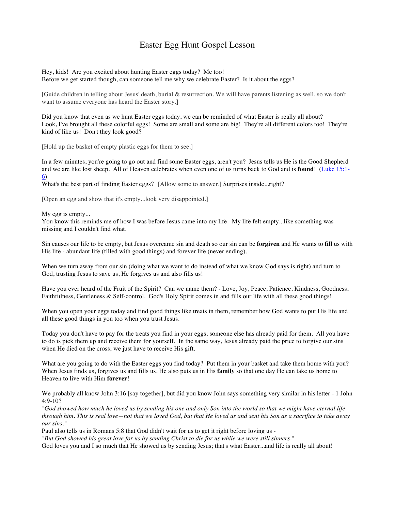## Easter Egg Hunt Gospel Lesson

Hey, kids! Are you excited about hunting Easter eggs today? Me too! Before we get started though, can someone tell me why we celebrate Easter? Is it about the eggs?

[Guide children in telling about Jesus' death, burial & resurrection. We will have parents listening as well, so we don't want to assume everyone has heard the Easter story.]

Did you know that even as we hunt Easter eggs today, we can be reminded of what Easter is really all about? Look, I've brought all these colorful eggs! Some are small and some are big! They're all different colors too! They're kind of like us! Don't they look good?

[Hold up the basket of empty plastic eggs for them to see.]

In a few minutes, you're going to go out and find some Easter eggs, aren't you? Jesus tells us He is the Good Shepherd and we are like lost sheep. All of Heaven celebrates when even one of us turns back to God and is **found**! (Luke 15:1- 6)

What's the best part of finding Easter eggs? [Allow some to answer.] Surprises inside...right?

[Open an egg and show that it's empty...look very disappointed.]

My egg is empty...

You know this reminds me of how I was before Jesus came into my life. My life felt empty...like something was missing and I couldn't find what.

Sin causes our life to be empty, but Jesus overcame sin and death so our sin can be **forgiven** and He wants to **fill** us with His life - abundant life (filled with good things) and forever life (never ending).

When we turn away from our sin (doing what we want to do instead of what we know God says is right) and turn to God, trusting Jesus to save us, He forgives us and also fills us!

Have you ever heard of the Fruit of the Spirit? Can we name them? - Love, Joy, Peace, Patience, Kindness, Goodness, Faithfulness, Gentleness & Self-control. God's Holy Spirit comes in and fills our life with all these good things!

When you open your eggs today and find good things like treats in them, remember how God wants to put His life and all these good things in you too when you trust Jesus.

Today you don't have to pay for the treats you find in your eggs; someone else has already paid for them. All you have to do is pick them up and receive them for yourself. In the same way, Jesus already paid the price to forgive our sins when He died on the cross; we just have to receive His gift.

What are you going to do with the Easter eggs you find today? Put them in your basket and take them home with you? When Jesus finds us, forgives us and fills us, He also puts us in His **family** so that one day He can take us home to Heaven to live with Him **forever**!

We probably all know John 3:16 [say together], but did you know John says something very similar in his letter - 1 John 4:9-10?

*"God showed how much he loved us by sending his one and only Son into the world so that we might have eternal life through him. This is real love—not that we loved God, but that He loved us and sent his Son as a sacrifice to take away our sins."*

Paul also tells us in Romans 5:8 that God didn't wait for us to get it right before loving us -

*"But God showed his great love for us by sending Christ to die for us while we were still sinners."*

God loves you and I so much that He showed us by sending Jesus; that's what Easter...and life is really all about!